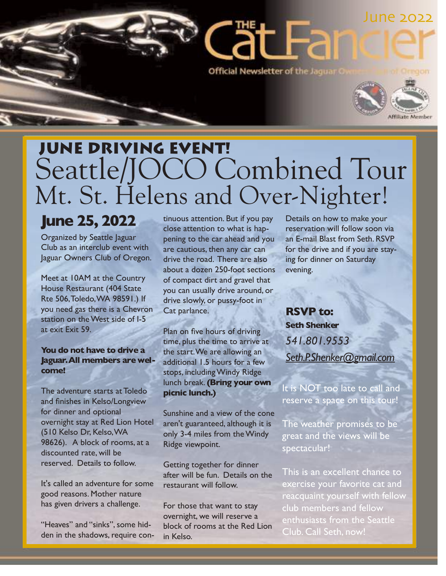

# June driving event! Seattle/JOCO Combined Tour Mt. St. Helens and Over-Nighter!

## **June 25, 2022**

Organized by Seattle Jaguar Club as an interclub event with Jaguar Owners Club of Oregon.

Meet at 10AM at the Country House Restaurant (404 State Rte 506,Toledo,WA 98591.) If you need gas there is a Chevron station on the West side of I-5 at exit Exit 59.

### **You do not have to drive a Jaguar.All members are welcome!**

The adventure starts at Toledo and finishes in Kelso/Longview for dinner and optional overnight stay at Red Lion Hotel (510 Kelso Dr, Kelso,WA 98626). A block of rooms, at a discounted rate, will be reserved. Details to follow.

It's called an adventure for some good reasons. Mother nature has given drivers a challenge.

"Heaves" and "sinks", some hidden in the shadows, require continuous attention. But if you pay close attention to what is happening to the car ahead and you are cautious, then any car can drive the road. There are also about a dozen 250-foot sections of compact dirt and gravel that you can usually drive around, or drive slowly, or pussy-foot in Cat parlance.

Plan on five hours of driving time, plus the time to arrive at the start.We are allowing an additional 1.5 hours for a few stops, including Windy Ridge lunch break.**(Bring your own picnic lunch.)**

Sunshine and a view of the cone aren't guaranteed, although it is only 3-4 miles from the Windy Ridge viewpoint.

Getting together for dinner after will be fun. Details on the restaurant will follow.

For those that want to stay overnight, we will reserve a block of rooms at the Red Lion in Kelso.

Details on how to make your reservation will follow soon via an E-mail Blast from Seth. RSVP for the drive and if you are staying for dinner on Saturday evening.

**RSVP to: Seth Shenker** *541.801.9553 Seth.P.Shenker@gmail.com*

It is NOT too late to call and reserve a space on this tour!

The weather promises to be great and the views will be spectacular!

This is an excellent chance to exercise your favorite cat and reacquaint yourself with fellow club members and fellow enthusiasts from the Seattle Club. Call Seth, now!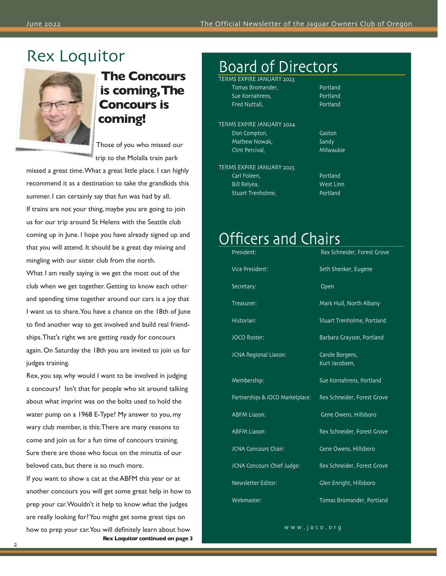## Rex Loquitor



**The Concours is coming,The Concours is coming!**

Those of you who missed our trip to the Molalla train park

missed a great time.What a great little place. I can highly recommend it as a destination to take the grandkids this summer. I can certainly say that fun was had by all. If trains are not your thing, maybe you are going to join us for our trip around St Helens with the Seattle club coming up in June. I hope you have already signed up and that you will attend. It should be a great day mixing and mingling with our sister club from the north.

What I am really saying is we get the most out of the club when we get together. Getting to know each other and spending time together around our cars is a joy that I want us to share.You have a chance on the 18th of June to find another way to get involved and build real friendships.That's right we are getting ready for concours again. On Saturday the 18th you are invited to join us for judges training.

Rex, you say, why would I want to be involved in judging a concours? Isn't that for people who sit around talking about what imprint was on the bolts used to hold the water pump on a 1968 E-Type? My answer to you, my wary club member, is this:There are many reasons to come and join us for a fun time of concours training. Sure there are those who focus on the minutia of our beloved cats, but there is so much more.

If you want to show a cat at the ABFM this year or at another concours you will get some great help in how to prep your car.Wouldn't it help to know what the judges are really looking for? You might get some great tips on how to prep your car.You will definitely learn about how **Rex Loquitor continued on page 3**

## Board of Directors

TERMS EXPIRE JANUARY 2023 Tomas Bromander, Nortland Sue Kornahrens, Portland Fred Nuttall, Portland

TERMS EXPIRE JANUARY 2024 Don Compton, Gaston Mathew Nowak, Sandy Clint Percival, Milwaukie

TERMS EXPIRE JANUARY 2025 Carl Foleen, Portland Bill Relyea, West Linn Stuart Trenholme, **Portland** 

## Officers and Chairs

| President:                       | Rex Schneider, Forest Grove       |
|----------------------------------|-----------------------------------|
| Vice President:                  | Seth Shenker, Eugene              |
| Secretary:                       | Open                              |
| Treasurer:                       | Mark Hull, North Albany           |
| Historian:                       | <b>Stuart Trenholme, Portland</b> |
| <b>JOCO Roster:</b>              | Barbara Grayson, Portland         |
| JCNA Regional Liason:            | Carole Borgens,<br>Kurt Jacobsen, |
| Membership:                      | Sue Kornahrens, Portland          |
| Partnerships & JOCO Marketplace: | Rex Schneider, Forest Grove       |
| <b>ABFM Liason:</b>              | Gene Owens, Hillsboro             |
| <b>ABFM Liason:</b>              | Rex Schneider, Forest Grove       |
| <b>JCNA Concours Chair:</b>      | Gene Owens, Hillsboro             |
| JCNA Concours Chief Judge:       | Rex Schneider, Forest Grove       |
| Newsletter Editor:               | Glen Enright, Hillsboro           |
| Webmaster:                       | Tomas Bromander, Portland         |

www.joco.org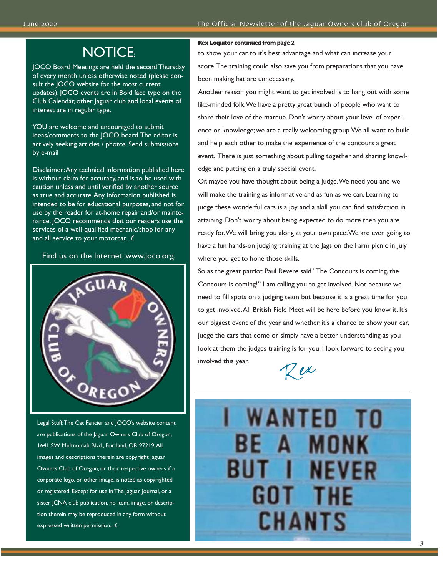## NOTICE:

JOCO Board Meetings are held the second Thursday of every month unless otherwise noted (please consult the JOCO website for the most current updates). JOCO events are in Bold face type on the Club Calendar, other Jaguar club and local events of interest are in regular type.

YOU are welcome and encouraged to submit ideas/comments to the JOCO board.The editor is actively seeking articles / photos. Send submissions by e-mail

Disclaimer:Any technical information published here is without claim for accuracy, and is to be used with caution unless and until verified by another source as true and accurate.Any information published is intended to be for educational purposes, and not for use by the reader for at-home repair and/or maintenance. JOCO recommends that our readers use the services of a well-qualified mechanic/shop for any and all service to your motorcar. £

### Find us on the Internet: www.joco.org.



Legal Stuff:The Cat Fancier and JOCO's website content are publications of the Jaguar Owners Club of Oregon, 1641 SW Multnomah Blvd., Portland, OR 97219.All images and descriptions therein are copyright Jaguar Owners Club of Oregon, or their respective owners if a corporate logo, or other image, is noted as copyrighted or registered. Except for use in The Jaguar Journal, or a sister JCNA club publication, no item, image, or description therein may be reproduced in any form without expressed written permission. £

### **Rex Loquitor continued from page 2**

to show your car to it's best advantage and what can increase your score.The training could also save you from preparations that you have been making hat are unnecessary.

Another reason you might want to get involved is to hang out with some like-minded folk.We have a pretty great bunch of people who want to share their love of the marque. Don't worry about your level of experience or knowledge; we are a really welcoming group.We all want to build and help each other to make the experience of the concours a great event. There is just something about pulling together and sharing knowledge and putting on a truly special event.

Or, maybe you have thought about being a judge.We need you and we will make the training as informative and as fun as we can. Learning to judge these wonderful cars is a joy and a skill you can find satisfaction in attaining. Don't worry about being expected to do more then you are ready for.We will bring you along at your own pace.We are even going to have a fun hands-on judging training at the Jags on the Farm picnic in July where you get to hone those skills.

So as the great patriot Paul Revere said "The Concours is coming, the Concours is coming!" I am calling you to get involved. Not because we need to fill spots on a judging team but because it is a great time for you to get involved.All British Field Meet will be here before you know it. It's our biggest event of the year and whether it's a chance to show your car, judge the cars that come or simply have a better understanding as you look at them the judges training is for you. I look forward to seeing you involved this year.



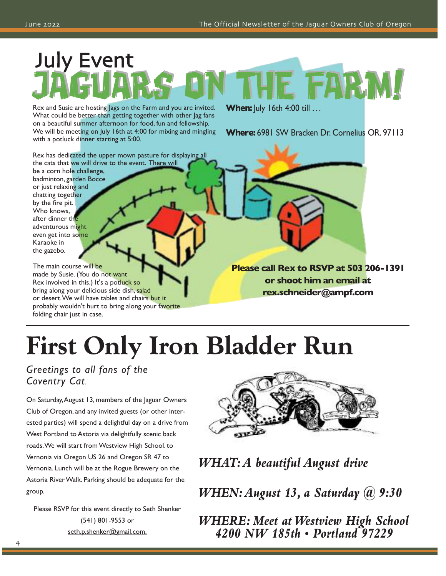# July Event FARM

Rex and Susie are hosting Jags on the Farm and you are invited. What could be better than getting together with other Jag fans on a beautiful summer afternoon for food, fun and fellowship. We will be meeting on July 16th at 4:00 for mixing and mingling with a potluck dinner starting at 5:00.

**When:** July 16th 4:00 till ...

**Where:** 6981 SW Bracken Dr. Cornelius OR. 97113

Rex has dedicated the upper mown pasture for displaying all the cats that we will drive to the event. There will be a corn hole challenge,

badminton, garden Bocce or just relaxing and chatting together by the fire pit. Who knows, after dinner th adventurous might even get into some Karaoke in the gazebo.

The main course will be made by Susie. (You do not want Rex involved in this.) It's a potluck so bring along your delicious side dish, salad or desert. We will have tables and chairs but it probably wouldn't hurt to bring along your favorite folding chair just in case.

**Please call Rex to RSVP at 503 206-1391 or shoot him an email at rex.schneider@ampf.com**

# **First Only Iron Bladder Run**

*Greetings to all fans of the Coventry Cat*.

On Saturday,August 13, members of the Jaguar Owners Club of Oregon, and any invited guests (or other interested parties) will spend a delightful day on a drive from West Portland to Astoria via delightfully scenic back roads.We will start from Westview High School. to Vernonia via Oregon US 26 and Oregon SR 47 to Vernonia. Lunch will be at the Rogue Brewery on the Astoria River Walk. Parking should be adequate for the group.

Please RSVP for this event directly to Seth Shenker (541) 801-9553 or seth.p.shenker@gmail.com.



*WHAT:A beautiful August drive*

*WHEN:August 13, a Saturday @ 9:30*

*WHERE: Meet atWestview High School 4200 NW 185th • Portland 97229*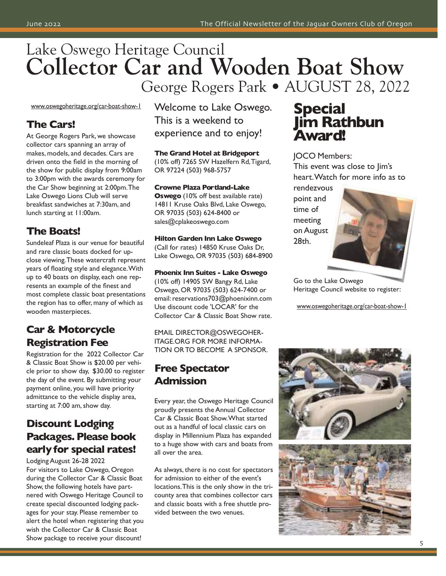## Lake Oswego Heritage Council **Collector Car and Wooden Boat Show** George Rogers Park • AUGUST 28, 2022

www.oswegoheritage.org/car-boat-show-1

### **The Cars!**

At George Rogers Park, we showcase collector cars spanning an array of makes, models, and decades. Cars are driven onto the field in the morning of the show for public display from 9:00am to 3:00pm with the awards ceremony for the Car Show beginning at 2:00pm.The Lake Oswego Lions Club will serve breakfast sandwiches at 7:30am, and lunch starting at 11:00am.

### **The Boats!**

Sundeleaf Plaza is our venue for beautiful and rare classic boats docked for upclose viewing.These watercraft represent years of floating style and elegance.With up to 40 boats on display, each one represents an example of the finest and most complete classic boat presentations the region has to offer, many of which as wooden masterpieces.

## **Car & Motorcycle Registration Fee**

Registration for the 2022 Collector Car & Classic Boat Show is \$20.00 per vehicle prior to show day, \$30.00 to register the day of the event. By submitting your payment online, you will have priority admittance to the vehicle display area, starting at 7:00 am, show day.

### **Discount Lodging Packages. Please book earlyfor special rates!**

Lodging August 26-28 2022 For visitors to Lake Oswego, Oregon during the Collector Car & Classic Boat Show, the following hotels have partnered with Oswego Heritage Council to create special discounted lodging packages for your stay. Please remember to alert the hotel when registering that you wish the Collector Car & Classic Boat Show package to receive your discount!

Welcome to Lake Oswego. This is a weekend to experience and to enjoy!

**The Grand Hotel at Bridgeport** (10% off) 7265 SW Hazelfern Rd,Tigard, OR 97224 (503) 968-5757

### **Crowne Plaza Portland-Lake**

**Oswego** (10% off best available rate) 14811 Kruse Oaks Blvd, Lake Oswego, OR 97035 (503) 624-8400 or sales@cplakeoswego.com

### **Hilton Garden Inn Lake Oswego** (Call for rates) 14850 Kruse Oaks Dr,

Lake Oswego, OR 97035 (503) 684-8900

### **Phoenix Inn Suites - Lake Oswego**

(10% off) 14905 SW Bangy Rd, Lake Oswego, OR 97035 (503) 624-7400 or email: reservations703@phoenixinn.com Use discount code 'LOCAR' for the Collector Car & Classic Boat Show rate.

EMAIL DIRECTOR@OSWEGOHER-ITAGE.ORG FOR MORE INFORMA-TION OR TO BECOME A SPONSOR.

### **Free Spectator Admission**

Every year, the Oswego Heritage Council proudly presents the Annual Collector Car & Classic Boat Show.What started out as a handful of local classic cars on display in Millennium Plaza has expanded to a huge show with cars and boats from all over the area.

As always, there is no cost for spectators for admission to either of the event's locations.This is the only show in the tricounty area that combines collector cars and classic boats with a free shuttle provided between the two venues.

## **Special Jim Rathbun Award!**

JOCO Members: This event was close to Jim's heart.Watch for more info as to

rendezvous point and time of meeting on August 28th.



Go to the Lake Oswego Heritage Council website to register:

www.oswegoheritage.org/car-boat-show-1



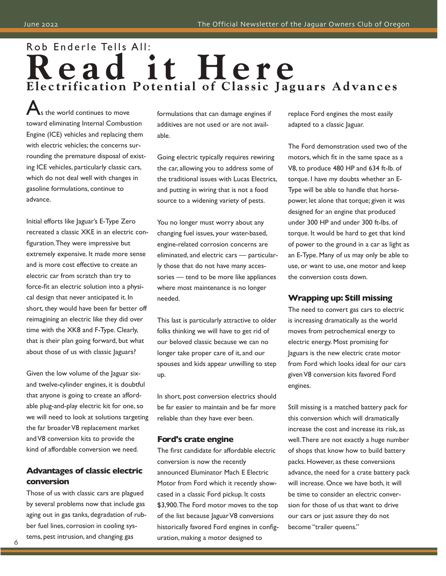## Rob Enderle Tells All: **R e a d i t H e r e Electrification Potential of Classic Jaguars Advances**

s the world continues to move toward eliminating Internal Combustion Engine (ICE) vehicles and replacing them with electric vehicles; the concerns surrounding the premature disposal of existing ICE vehicles, particularly classic cars, which do not deal well with changes in gasoline formulations, continue to advance.

Initial efforts like Jaguar's E-Type Zero recreated a classic XKE in an electric configuration.They were impressive but extremely expensive. It made more sense and is more cost effective to create an electric car from scratch than try to force-fit an electric solution into a physical design that never anticipated it. In short, they would have been far better off reimagining an electric like they did over time with the XK8 and F-Type. Clearly, that is their plan going forward, but what about those of us with classic Jaguars?

Given the low volume of the Jaguar sixand twelve-cylinder engines, it is doubtful that anyone is going to create an affordable plug-and-play electric kit for one, so we will need to look at solutions targeting the far broader V8 replacement market and V8 conversion kits to provide the kind of affordable conversion we need.

### **Advantages of classic electric conversion**

Those of us with classic cars are plagued by several problems now that include gas aging out in gas tanks, degradation of rubber fuel lines, corrosion in cooling systems, pest intrusion, and changing gas

formulations that can damage engines if additives are not used or are not available.

Going electric typically requires rewiring the car, allowing you to address some of the traditional issues with Lucas Electrics, and putting in wiring that is not a food source to a widening variety of pests.

You no longer must worry about any changing fuel issues, your water-based, engine-related corrosion concerns are eliminated, and electric cars — particularly those that do not have many accessories — tend to be more like appliances where most maintenance is no longer needed.

This last is particularly attractive to older folks thinking we will have to get rid of our beloved classic because we can no longer take proper care of it, and our spouses and kids appear unwilling to step up.

In short, post conversion electrics should be far easier to maintain and be far more reliable than they have ever been.

### **Ford's crate engine**

The first candidate for affordable electric conversion is now the recently announced Eluminator Mach E Electric Motor from Ford which it recently showcased in a classic Ford pickup. It costs \$3,900.The Ford motor moves to the top of the list because Jaguar V8 conversions historically favored Ford engines in configuration, making a motor designed to

replace Ford engines the most easily adapted to a classic Jaguar.

The Ford demonstration used two of the motors, which fit in the same space as a V8, to produce 480 HP and 634 ft-lb. of torque. I have my doubts whether an E-Type will be able to handle that horsepower, let alone that torque; given it was designed for an engine that produced under 300 HP and under 300 ft-lbs. of torque. It would be hard to get that kind of power to the ground in a car as light as an E-Type. Many of us may only be able to use, or want to use, one motor and keep the conversion costs down.

### **Wrapping up: Still missing**

The need to convert gas cars to electric is increasing dramatically as the world moves from petrochemical energy to electric energy. Most promising for Jaguars is the new electric crate motor from Ford which looks ideal for our cars given V8 conversion kits favored Ford engines.

Still missing is a matched battery pack for this conversion which will dramatically increase the cost and increase its risk, as well.There are not exactly a huge number of shops that know how to build battery packs. However, as these conversions advance, the need for a crate battery pack will increase. Once we have both, it will be time to consider an electric conversion for those of us that want to drive our cars or just assure they do not become "trailer queens."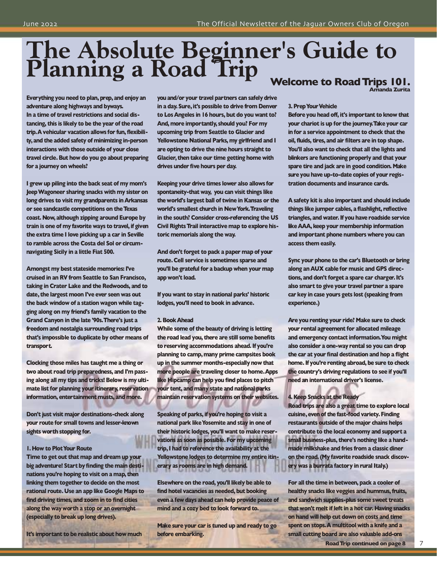# **The Absolute Beginner's Guide to Planning a Road Trip Welcome to RoadTrips 101. Amanda Zurita**

**Everything you need to plan, prep, and enjoy an adventure along highways and byways. In a time of travel restrictions and social distancing, this is likely to be the year of the road trip.A vehicular vacation allows for fun, flexibility, and the added safety of minimizing in-person interactions with those outside of your close travel circle. But how do you go about preparing for a journey on wheels?**

**I grew up piling into the back seat of my mom's JeepWagoneer sharing snacks with my sister on long drives to visit my grandparents in Arkansas or see sandcastle competitions on theTexas coast. Now, although zipping around Europe by train is one of my favorite ways to travel, if given the extra time I love picking up a car in Seville to ramble across the Costa del Sol or circumnavigating Sicily in a little Fiat 500.**

**Amongst my best stateside memories:I've cruised in an RV from Seattle to San Francisco, taking in Crater Lake and the Redwoods, and to date, the largest moon I've ever seen was out the back window of a station wagon while tagging along on my friend's family vacation to the Grand Canyon in the late '90s.There's just a freedom and nostalgia surrounding road trips that's impossible to duplicate by other means of transport.**

**Clocking those miles has taught me a thing or two about road trip preparedness, and I'm passing along all my tips and tricks! Below is my ultimate list for planning your itinerary, reservation information, entertainment musts, and more.**

**Don't just visit major destinations-check along your route for small towns and lesser-known sights worth stopping for.**

### **1. How to PlotYour Route**

**Time to get out that map and dream up your big adventure! Startbyfinding the main destinations you're hoping to visit on a map, then linking them together to decide on the most rational route. Use an app like Google Maps to find driving times, and zoom in to find cities along the wayworth a stop or an overnight (especially to break up long drives).**

**It's important to be realistic about how much**

**youand/or your travel partners can safely drive in a day. Sure,it's possible to drive from Denver to Los Angeles in 16 hours, but do you want to? And, more importantly, should you? For my upcoming trip from Seattle to Glacier and Yellowstone National Parks, my girlfriend and I are opting to drive the nine hours straight to Glacier, then take our time getting home with drives under five hours per day.**

**Keeping your drive times lower also allows for spontaneity-that way, you can visit things like the world's largest ball of twine in Kansas or the world's smallest church in NewYork.Traveling in the south? Consider cross-referencing the US Civil RightsTrail interactive map to explore historic memorials along the way.**

**And don't forget to pack a paper map of your route. Cell service is sometimes sparse and you'll be grateful for a backup when your map app won't load.**

**If you want to stay in national parks' historic lodges, you'll need to book in advance.**

### **2. BookAhead**

**While some of the beauty of driving is letting the road lead you, there are still some benefits to reserving accommodations ahead.If you're planning to camp,many prime campsites book up in the summer months-especially now that more people are traveling closer to home.Apps like Hipcamp can help you find places to pitch your tent, and many state and national parks maintain reservation systems on their websites.**

**Speaking of parks, if you're hoping to visit a national park likeYosemite and stay in one of their historic lodges, you'll want to make reservations as soon as possible. For my upcoming trip,I had to reference the availability at the Yellowstone lodges to determine my entire itinerary as rooms are in high demand.**

**Elsewhere on the road, you'll likely be able to find hotel vacancies as needed, but booking even a few days ahead can help provide peace of mind and a cozy bed to look forward to.**

**Make sure your car is tuned up and ready to go before embarking.**

### **3. Prep Your Vehicle**

**Before you head off, it's important to know that your chariot is up for the journey.Take your car in for a service appointment to check that the oil, fluids, tires, and air filters are in top shape. You'll also want to check that all the lights and blinkers are functioning properly and that your spare tire and jack are in good condition. Make sure you have up-to-date copies of your registration documents and insurance cards.**

**A safety kit is also important and should include things like jumper cables, a flashlight, reflective triangles, and water.If you have roadside service likeAAA, keep your membership information and important phone numbers where you can access them easily.**

**Sync your phone to the car's Bluetooth or bring along an AUX cable for music and GPS directions, and don't forget a spare car charger.It's also smart to give your travel partner a spare car key in case yours gets lost (speaking from experience.)**

**Are you renting your ride? Make sure to check your rental agreement for allocated mileage and emergency contact information.You might also consider a one-way rental so you can drop the car at your final destination and hop a flight home.If you're renting abroad, be sure to check the country's driving regulations to see if you'll need an international driver's license.**

### **4. Keep Snacks at the Ready**

**Road trips are also a great time to explore local cuisine,even of the fast-food variety. Finding restaurants outside of the major chains helps contribute to the local economy and support a small business-plus, there's nothing like a handmade milkshake and fries from a classic diner on the road.(My favorite roadside snack discovery was a burrata factory in rural Italy.)**

**For all the time in between, pack a cooler of healthy snacks like veggies and hummus,fruits, and sandwich supplies-plus some sweet treats that won't melt if left in a hot car. Having snacks on hand will help cut down on costs and time spent on stops.A multitool with a knife and a small cutting board are also valuable add-ons**

**RoadTrip continued on page 8**

7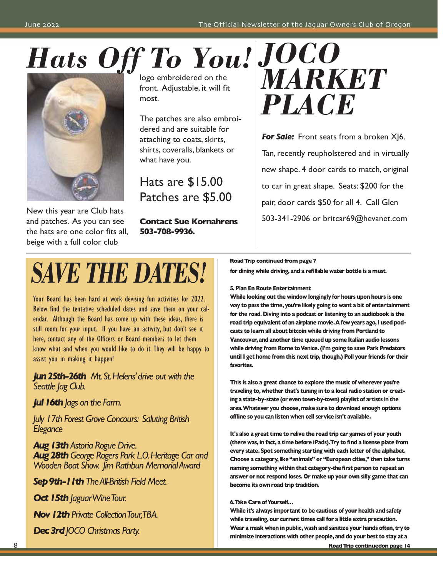# *JOCO Hats Off To You!*



New this year are Club hats and patches. As you can see the hats are one color fits all, beige with a full color club

logo embroidered on the front. Adjustable, it will fit most.

The patches are also embroidered and are suitable for attaching to coats, skirts, shirts, coveralls, blankets or what have you.

Hats are \$15.00 Patches are \$5.00

**Contact Sue Kornahrens 503-708-9936.**



**For Sale:** Front seats from a broken X|6. Tan, recently reupholstered and in virtually new shape. 4 door cards to match, original to car in great shape. Seats: \$200 for the pair, door cards \$50 for all 4. Call Glen 503-341-2906 or britcar69@hevanet.com

# *SAVE THE DATES!*

Your Board has been hard at work devising fun activities for 2022. Below find the tentative scheduled dates and save them on your calendar. Although the Board has come up with these ideas, there is still room for your input. If you have an activity, but don't see it here, contact any of the Officers or Board members to let them know what and when you would like to do it. They will be happy to assist you in making it happen!

*Jun25th-26th Mt.St.Helens'drive out with the Seattle Jag Club.*

*Jul16thJags on the Farm.*

*July 17th Forest Grove Concours: Saluting British Elegance*

*Aug13thAstoria Rogue Drive. Aug28thGeorge Rogers Park L.O.Heritage Car and Wooden Boat Show. Jim Rathbun MemorialAward*

*Sep9th-11thTheAll-British Field Meet.*

**Oct 15th** *JaguarWineTour.* 

*Nov 12th Private Collection Tour,TBA.* 

*Dec3rdJOCO Christmas Party.*

**RoadTrip continued from page 7**

**for dining while driving, and a refillable water bottle is a must.**

**5. Plan En Route Entertainment**

**While looking out the window longinglyfor hours upon hours is one way to pass the time, you're likely going to want a bit of entertainment for the road. Diving into a podcast or listening to an audiobook is the road trip equivalent** of an airplane movie. A few years ago, I used pod**casts to learn all about bitcoin while driving from Portland to Vancouver, and another time queued up some Italian audio lessons while driving from Rome toVenice.(I'm going to save Park Predators until I get home from this next trip, though.) Poll your friends for their favorites.**

**This is also a great chance to explore the music of wherever you're traveling to, whether that's tuning in to a local radio station or creating a state-by-state (or even town-by-town) playlist of artists in the area.Whatever you choose,make sure to download enough options offline so you can listen when cell service isn't available.**

**It's also a great time to relive the road trip car games of your youth (there was, in fact, a time before iPads).Try to find a license plate from every state. Spot something starting with each letter of the alphabet. Choose a category,like"animals" or "European cities," then take turns naming something within that category-thefirst person to repeat an answer or not respond loses. Or make up your own silly game that can become its own road trip tradition.**

### **6.Take Care ofYourself…**

**While it's always important to be cautious of your health and safety while traveling, our current times call for a little extra precaution. Wear a mask when in public, wash and sanitize your hands often, try to minimize interactions with other people, and do your best to stay at a**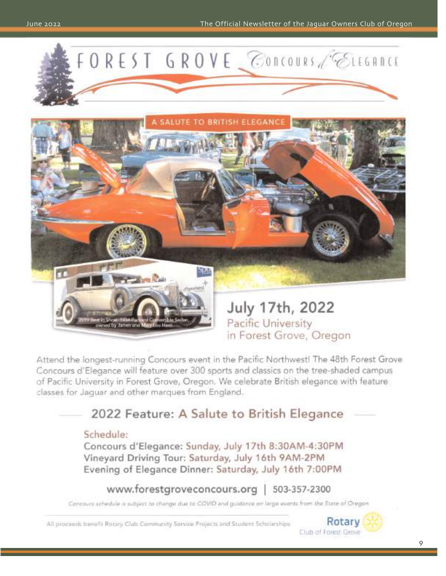



in Forest Grove, Oregon

Attend the longest-running Concours event in the Pacific Northwest! The 48th Forest Grove Concours d'Elegance will feature over 300 sports and classics on the tree-shaded campus of Pacific University in Forest Grove, Oregon, We celebrate British elegance with feature classes for Jaquar and other marques from England.

### 2022 Feature: A Salute to British Elegance

### Schedule:

Concours d'Elegance: Sunday, July 17th 8:30AM-4:30PM Vineyard Driving Tour: Saturday, July 16th 9AM-2PM Evening of Elegance Dinner: Saturday, July 16th 7:00PM

www.forestgroveconcours.org | 503-357-2300

Concours schedule is subject to change due to COVID and guidance on large events from the State of Oregon

All proceeds benefit Rotary Club Community Service Projects and Student Scholarships

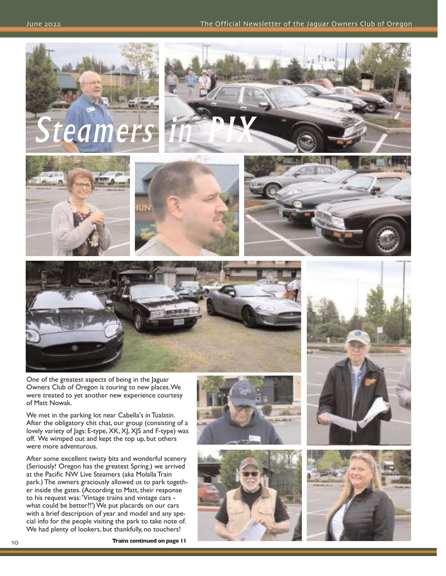











One of the greatest aspects of being in the Jaguar Owners Club of Oregon is touring to new places.We were treated to yet another new experience courtesy of Matt Nowak.

We met in the parking lot near Cabella's in Tualatin. After the obligatory chit chat, our group (consisting of a lovely variety of Jags: E-type, XK, XJ, XJS and F-type) was off. We wimped out and kept the top up, but others were more adventurous.

After some excellent twisty bits and wonderful scenery (Seriously! Oregon has the greatest Spring.) we arrived at the Pacific NW Live Steamers (aka Molalla Train park.) The owners graciously allowed us to park together inside the gates. (According to Matt, their response to his request was: 'Vintage trains and vintage cars what could be better?!') We put placards on our cars with a brief description of year and model and any special info for the people visiting the park to take note of. We had plenty of lookers, but thankfully, no touchers!







**Trains continued on page 11**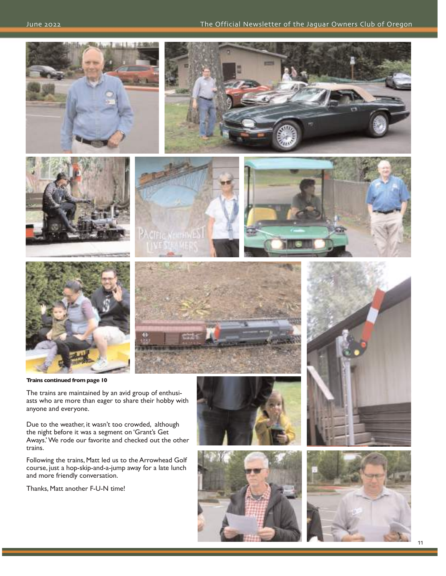

**Trains continued from page 10**

The trains are maintained by an avid group of enthusiasts who are more than eager to share their hobby with anyone and everyone.

Due to the weather, it wasn't too crowded, although the night before it was a segment on 'Grant's Get Aways.' We rode our favorite and checked out the other trains.

Following the trains, Matt led us to the Arrowhead Golf course, just a hop-skip-and-a-jump away for a late lunch and more friendly conversation.

Thanks, Matt another F-U-N time!







11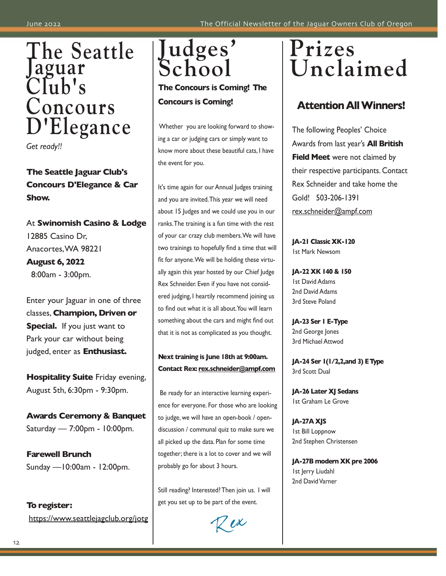

# **The Seattle Jaguar Club's Concours D'Elegance**

*Get ready!!* 

**The Seattle Jaguar Club's Concours D'Elegance & Car Show.**

At **Swinomish Casino & Lodge** 12885 Casino Dr, Anacortes,WA 98221 **August 6, 2022** 8:00am - 3:00pm.

Enter your Jaguar in one of three classes, **Champion, Driven or Special.** If you just want to Park your car without being judged, enter as **Enthusiast.**

**Hospitality Suite** Friday evening, August 5th, 6:30pm - 9:30pm.

**Awards Ceremony & Banquet** Saturday — 7:00pm - 10:00pm.

**Farewell Brunch** Sunday —10:00am - 12:00pm.

**To register:** https://www.seattlejagclub.org/jotg **Judges' School**

**The Concours is Coming! The Concours is Coming!**

Whether you are looking forward to showing a car or judging cars or simply want to know more about these beautiful cats, I have the event for you.

It's time again for our Annual Judges training and you are invited.This year we will need about 15 Judges and we could use you in our ranks.The training is a fun time with the rest of your car crazy club members.We will have two trainings to hopefully find a time that will fit for anyone.We will be holding these virtually again this year hosted by our Chief Judge Rex Schneider. Even if you have not considered judging, I heartily recommend joining us to find out what it is all about.You will learn something about the cars and might find out that it is not as complicated as you thought.

### **Next training is June 18th at 9:00am. Contact Rex: rex.schneider@ampf.com**

Be ready for an interactive learning experience for everyone. For those who are looking to judge, we will have an open-book / opendiscussion / communal quiz to make sure we all picked up the data. Plan for some time together; there is a lot to cover and we will probably go for about 3 hours.

Still reading? Interested? Then join us. I will get you set up to be part of the event.

 $Z$ ex

# **Prizes Unclaimed**

## **Attention AllWinners!**

The following Peoples' Choice Awards from last year's **All British Field Meet** were not claimed by their respective participants. Contact Rex Schneider and take home the Gold! 503-206-1391 rex.schneider@ampf.com

**JA-21 Classic XK-120** 1st Mark Newsom

**JA-22 XK 140 & 150** 1st David Adams 2nd David Adams 3rd Steve Poland

**JA-23 Ser 1 E-Type** 2nd George Jones 3rd Michael Attwod

**JA-24 Ser 1(1/2,2,and 3) EType** 3rd Scott Dual

**JA-26 Later XJ Sedans** 1st Graham Le Grove

**JA-27A XJS** 1st Bill Loppnow 2nd Stephen Christensen

**JA-27B modern XK pre 2006** 1st Jerry Liudahl 2nd David Varner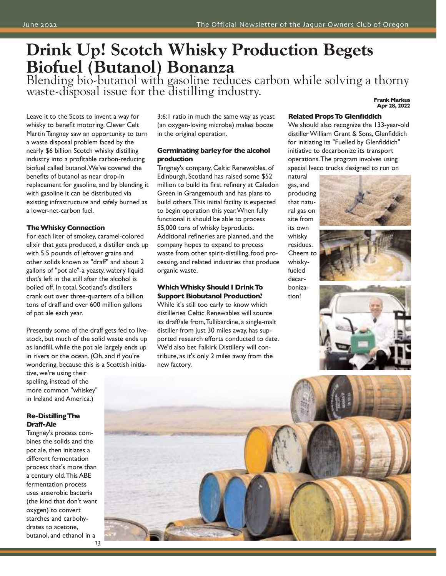## **Drink Up! Scotch Whisky Production Begets Biofuel (Butanol) Bonanza**

Blending bio-butanol with gasoline reduces carbon while solving a thorny waste-disposal issue for the distilling industry. **Frank Markus Apr 28, <sup>2022</sup>**

Leave it to the Scots to invent a way for whisky to benefit motoring. Clever Celt Martin Tangney saw an opportunity to turn a waste disposal problem faced by the nearly \$6 billion Scotch whisky distilling industry into a profitable carbon-reducing biofuel called butanol.We've covered the benefits of butanol as near drop-in replacement for gasoline, and by blending it with gasoline it can be distributed via existing infrastructure and safely burned as a lower-net-carbon fuel.

### **TheWhisky Connection**

For each liter of smokey, caramel-colored elixir that gets produced, a distiller ends up with 5.5 pounds of leftover grains and other solids known as "draff" and about 2 gallons of "pot ale"-a yeasty, watery liquid that's left in the still after the alcohol is boiled off. In total, Scotland's distillers crank out over three-quarters of a billion tons of draff and over 600 million gallons of pot ale each year.

Presently some of the draff gets fed to livestock, but much of the solid waste ends up as landfill, while the pot ale largely ends up in rivers or the ocean. (Oh, and if you're wondering, because this is a Scottish initia-

tive, we're using their spelling, instead of the more common "whiskey" in Ireland and America.)

### **Re-DistillingThe Draff-Ale**

Tangney's process combines the solids and the pot ale, then initiates a different fermentation process that's more than a century old.This ABE fermentation process uses anaerobic bacteria (the kind that don't want oxygen) to convert starches and carbohydrates to acetone, butanol, and ethanol in a

3:6:1 ratio in much the same way as yeast (an oxygen-loving microbe) makes booze in the original operation.

### **Germinating barleyfor the alcohol production**

Tangney's company, Celtic Renewables, of Edinburgh, Scotland has raised some \$52 million to build its first refinery at Caledon Green in Grangemouth and has plans to build others.This initial facility is expected to begin operation this year.When fully functional it should be able to process 55,000 tons of whisky byproducts. Additional refineries are planned, and the company hopes to expand to process waste from other spirit-distilling, food processing, and related industries that produce organic waste.

### **WhichWhisky Should I DrinkTo Support Biobutanol Production?**

While it's still too early to know which distilleries Celtic Renewables will source its draff/ale from,Tullibardine, a single-malt distiller from just 30 miles away, has supported research efforts conducted to date. We'd also bet Falkirk Distillery will contribute, as it's only 2 miles away from the new factory.

### **Related PropsTo Glenfiddich**

We should also recognize the 133-year-old distiller William Grant & Sons, Glenfiddich for initiating its "Fuelled by Glenfiddich" initiative to decarbonize its transport operations.The program involves using special Iveco trucks designed to run on

natural gas, and producing that natural gas on site from its own whisky residues. Cheers to whiskyfueled decarbonization!







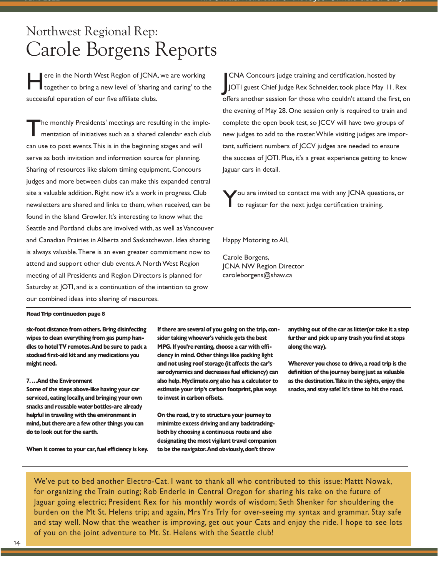## Northwest Regional Rep: Carole Borgens Reports

ere in the North West Region of JCNA, we are working together to bring a new level of 'sharing and caring' to the successful operation of our five affiliate clubs.

The monthly Presidents' meetings are resulting in the imple-<br>mentation of initiatives such as a shared calendar each club can use to post events.This is in the beginning stages and will serve as both invitation and information source for planning. Sharing of resources like slalom timing equipment, Concours judges and more between clubs can make this expanded central site a valuable addition. Right now it's a work in progress. Club newsletters are shared and links to them, when received, can be found in the Island Growler. It's interesting to know what the Seattle and Portland clubs are involved with, as well as Vancouver and Canadian Prairies in Alberta and Saskatchewan. Idea sharing is always valuable.There is an even greater commitment now to attend and support other club events.A North West Region meeting of all Presidents and Region Directors is planned for Saturday at JOTI, and is a continuation of the intention to grow our combined ideas into sharing of resources.

CNA Concours judge training and certification, hosted by<br>JOTI guest Chief Judge Rex Schneider, took place May 11. Rex CNA Concours judge training and certification, hosted by offers another session for those who couldn't attend the first, on the evening of May 28. One session only is required to train and complete the open book test, so JCCV will have two groups of new judges to add to the roster.While visiting judges are important, sufficient numbers of JCCV judges are needed to ensure the success of JOTI. Plus, it's a great experience getting to know Jaguar cars in detail.

You are invited to contact me with any JCNA questions, or to register for the next judge certification training.

Happy Motoring to All,

Carole Borgens, JCNA NW Region Director caroleborgens@shaw.ca

### **RoadTrip continuedon page 8**

**six-foot distance from others. Bring disinfecting wipes to clean everything from gas pump handles to hotelTV remotes.And be sure to pack a stocked first-aid kit and any medications you might need.**

### **7. …And the Environment**

**Some of the steps above-like having your car serviced, eating locally, and bringing your own snacks and reusable water bottles-are already helpful in traveling with the environment in mind, but there are a few other things you can do to look out for the earth.**

**When it comes to your car,fuel efficiency is key.**

**If there are several of you going on the trip, consider taking whoever's vehicle gets the best MPG.If you're renting, choose a car with efficiency in mind. Other things like packing light and not using roof storage (it affects the car's aerodynamics and decreases fuel efficiency) can also help. Myclimate.org also has a calculator to estimate your trip's carbon footprint, plus ways to invest in carbon offsets.**

**On the road, try to structure your journey to minimize excess driving and any backtrackingboth by choosing a continuous route and also designating the most vigilant travel companion to be the navigator.And obviously,don't throw**

**anything out of the car as litter(or take it a step further and pick up any trash you find at stops along the way).**

**Wherever you chose to drive, a road trip is the definition of the journey being just as valuable as the destination.Take in the sights, enjoy the snacks, and stay safe! It's time to hit the road.**

We've put to bed another Electro-Cat. I want to thank all who contributed to this issue: Mattt Nowak, for organizing the Train outing; Rob Enderle in Central Oregon for sharing his take on the future of Jaguar going electric; President Rex for his monthly words of wisdom; Seth Shenker for shouldering the burden on the Mt St. Helens trip; and again, Mrs Yrs Trly for over-seeing my syntax and grammar. Stay safe and stay well. Now that the weather is improving, get out your Cats and enjoy the ride. I hope to see lots of you on the joint adventure to Mt. St. Helens with the Seattle club!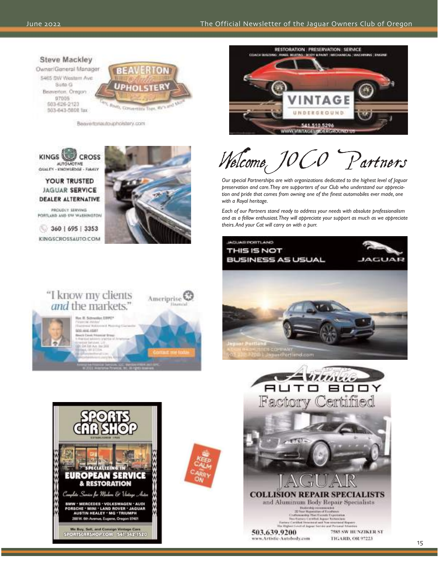### **Steve Mackley**

Owner/General Manager 5465 SW Western Ave. Suite G Beaverton, Oragon 97005 603-626-2123 503-643-5868 fax



Beavertonautouphoistery.com



YOUR TRUSTED **JAGUAR SERVICE DEALER ALTERNATIVE** 

PROUDLY SERVING FORTLARD AND SW WASHINGTON

360 | 695 | 3353 KINGSCROSSAUTO.COM

"I know my clients

and the markets.' Ryr, R. Schneider, DIRPO

> 903-646-4581 ch Creat, Ital<br>se tiori animi SA 60 A.B. INCHES<br>NA 00 EUTRA



Ameriprise<sup>E</sup>



Welcome<sub>c</sub> JO Partners

*Our special Partnerships are with organizations dedicated to the highest level of Jaguar preservation and care.They are supporters of our Club who understand our appreciation and pride that comes from owning one of the finest automobiles ever made, one with a Royal heritage.*

*Each of our Partners stand ready to address your needs with absolute professionalism and as a fellow enthusiast.They will appreciate your support as much as we appreciate theirs.And your Cat will carry on with a purr.*